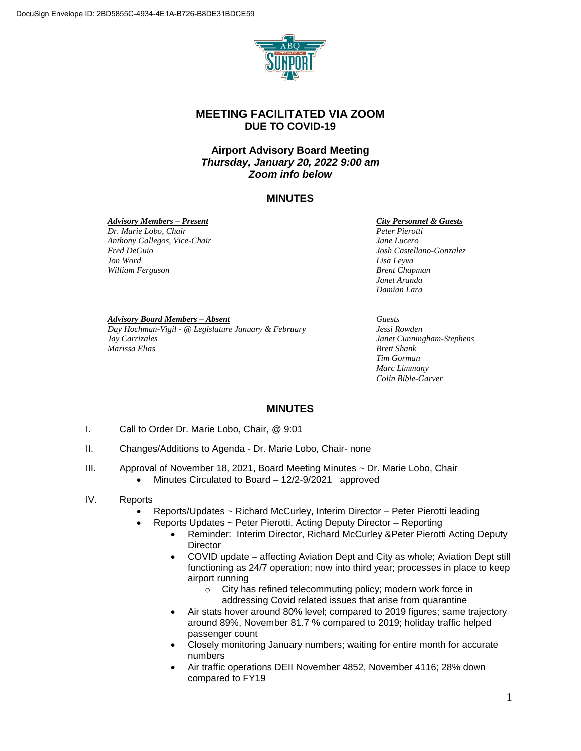

# **MEETING FACILITATED VIA ZOOM DUE TO COVID-19**

## **Airport Advisory Board Meeting** *Thursday, January 20, 2022 9:00 am Zoom info below*

## **MINUTES**

#### *Advisory Members – Present*

*Dr. Marie Lobo, Chair Anthony Gallegos, Vice-Chair Fred DeGuio Jon Word William Ferguson*

*City Personnel & Guests*

*Peter Pierotti Jane Lucero Josh Castellano-Gonzalez Lisa Leyva Brent Chapman Janet Aranda Damian Lara*

#### *Advisory Board Members – Absent*

*Day Hochman-Vigil - @ Legislature January & February Jay Carrizales Marissa Elias*

*Guests Jessi Rowden Janet Cunningham-Stephens Brett Shank Tim Gorman Marc Limmany*

*Colin Bible-Garver*

### **MINUTES**

- I. Call to Order Dr. Marie Lobo, Chair, @ 9:01
- II. Changes/Additions to Agenda Dr. Marie Lobo, Chair- none
- III. Approval of November 18, 2021, Board Meeting Minutes ~ Dr. Marie Lobo, Chair • Minutes Circulated to Board – 12/2-9/2021 approved
- IV. Reports
	- Reports/Updates ~ Richard McCurley, Interim Director Peter Pierotti leading
	- Reports Updates ~ Peter Pierotti, Acting Deputy Director Reporting
		- Reminder: Interim Director, Richard McCurley & Peter Pierotti Acting Deputy **Director**
		- COVID update affecting Aviation Dept and City as whole; Aviation Dept still functioning as 24/7 operation; now into third year; processes in place to keep airport running
			- o City has refined telecommuting policy; modern work force in addressing Covid related issues that arise from quarantine
		- Air stats hover around 80% level; compared to 2019 figures; same trajectory around 89%, November 81.7 % compared to 2019; holiday traffic helped passenger count
		- Closely monitoring January numbers; waiting for entire month for accurate numbers
		- Air traffic operations DEII November 4852, November 4116; 28% down compared to FY19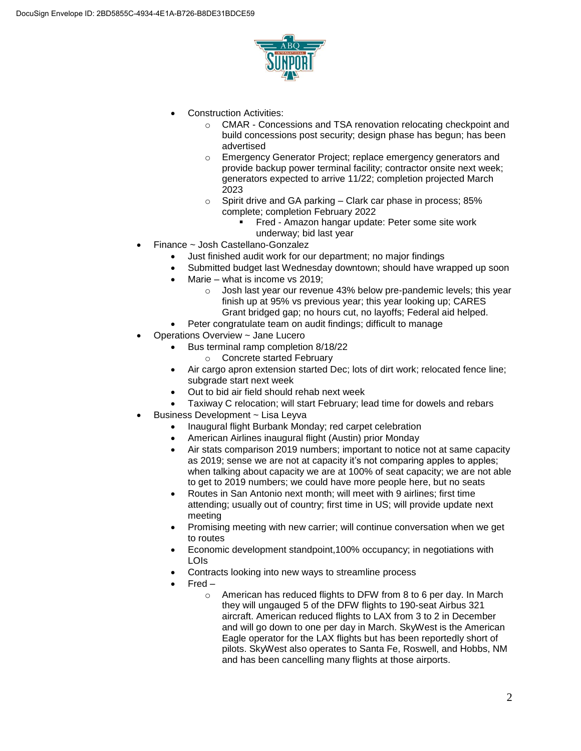

- Construction Activities:
	- o CMAR Concessions and TSA renovation relocating checkpoint and build concessions post security; design phase has begun; has been advertised
	- o Emergency Generator Project; replace emergency generators and provide backup power terminal facility; contractor onsite next week; generators expected to arrive 11/22; completion projected March 2023
	- $\circ$  Spirit drive and GA parking Clark car phase in process; 85% complete; completion February 2022
		- Fred Amazon hangar update: Peter some site work underway; bid last year
- Finance ~ Josh Castellano-Gonzalez
	- Just finished audit work for our department; no major findings
	- Submitted budget last Wednesday downtown; should have wrapped up soon
		- Marie what is income vs 2019;
			- o Josh last year our revenue 43% below pre-pandemic levels; this year finish up at 95% vs previous year; this year looking up; CARES Grant bridged gap; no hours cut, no layoffs; Federal aid helped.
	- Peter congratulate team on audit findings; difficult to manage
- Operations Overview ~ Jane Lucero
	- Bus terminal ramp completion 8/18/22
		- o Concrete started February
	- Air cargo apron extension started Dec; lots of dirt work; relocated fence line; subgrade start next week
	- Out to bid air field should rehab next week
	- Taxiway C relocation; will start February; lead time for dowels and rebars
- Business Development ~ Lisa Leyva
	- Inaugural flight Burbank Monday; red carpet celebration
	- American Airlines inaugural flight (Austin) prior Monday
	- Air stats comparison 2019 numbers; important to notice not at same capacity as 2019; sense we are not at capacity it's not comparing apples to apples; when talking about capacity we are at 100% of seat capacity; we are not able to get to 2019 numbers; we could have more people here, but no seats
	- Routes in San Antonio next month; will meet with 9 airlines; first time attending; usually out of country; first time in US; will provide update next meeting
	- Promising meeting with new carrier; will continue conversation when we get to routes
	- Economic development standpoint,100% occupancy; in negotiations with LOIs
	- Contracts looking into new ways to streamline process
	- Fred
		- o American has reduced flights to DFW from 8 to 6 per day. In March they will ungauged 5 of the DFW flights to 190-seat Airbus 321 aircraft. American reduced flights to LAX from 3 to 2 in December and will go down to one per day in March. SkyWest is the American Eagle operator for the LAX flights but has been reportedly short of pilots. SkyWest also operates to Santa Fe, Roswell, and Hobbs, NM and has been cancelling many flights at those airports.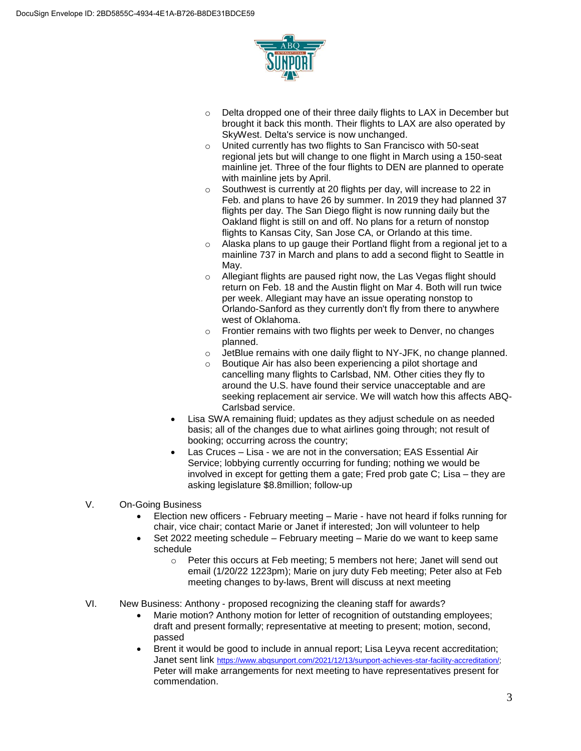

- $\circ$  Delta dropped one of their three daily flights to LAX in December but brought it back this month. Their flights to LAX are also operated by SkyWest. Delta's service is now unchanged.
- o United currently has two flights to San Francisco with 50-seat regional jets but will change to one flight in March using a 150-seat mainline jet. Three of the four flights to DEN are planned to operate with mainline jets by April.
- o Southwest is currently at 20 flights per day, will increase to 22 in Feb. and plans to have 26 by summer. In 2019 they had planned 37 flights per day. The San Diego flight is now running daily but the Oakland flight is still on and off. No plans for a return of nonstop flights to Kansas City, San Jose CA, or Orlando at this time.
- o Alaska plans to up gauge their Portland flight from a regional jet to a mainline 737 in March and plans to add a second flight to Seattle in May.
- o Allegiant flights are paused right now, the Las Vegas flight should return on Feb. 18 and the Austin flight on Mar 4. Both will run twice per week. Allegiant may have an issue operating nonstop to Orlando-Sanford as they currently don't fly from there to anywhere west of Oklahoma.
- o Frontier remains with two flights per week to Denver, no changes planned.
- $\circ$  JetBlue remains with one daily flight to NY-JFK, no change planned.
- o Boutique Air has also been experiencing a pilot shortage and cancelling many flights to Carlsbad, NM. Other cities they fly to around the U.S. have found their service unacceptable and are seeking replacement air service. We will watch how this affects ABQ-Carlsbad service.
- Lisa SWA remaining fluid; updates as they adjust schedule on as needed basis; all of the changes due to what airlines going through; not result of booking; occurring across the country;
- Las Cruces Lisa we are not in the conversation; EAS Essential Air Service; lobbying currently occurring for funding; nothing we would be involved in except for getting them a gate; Fred prob gate C; Lisa – they are asking legislature \$8.8million; follow-up

### V. On-Going Business

- Election new officers February meeting Marie have not heard if folks running for chair, vice chair; contact Marie or Janet if interested; Jon will volunteer to help
- Set 2022 meeting schedule February meeting Marie do we want to keep same schedule
	- o Peter this occurs at Feb meeting; 5 members not here; Janet will send out email (1/20/22 1223pm); Marie on jury duty Feb meeting; Peter also at Feb meeting changes to by-laws, Brent will discuss at next meeting
- VI. New Business: Anthony proposed recognizing the cleaning staff for awards?
	- Marie motion? Anthony motion for letter of recognition of outstanding employees; draft and present formally; representative at meeting to present; motion, second, passed
	- Brent it would be good to include in annual report; Lisa Leyva recent accreditation; Janet sent link https://www.abqsunport.com/2021/12/13/sunport-achieves-star-facility-accreditation/; Peter will make arrangements for next meeting to have representatives present for commendation.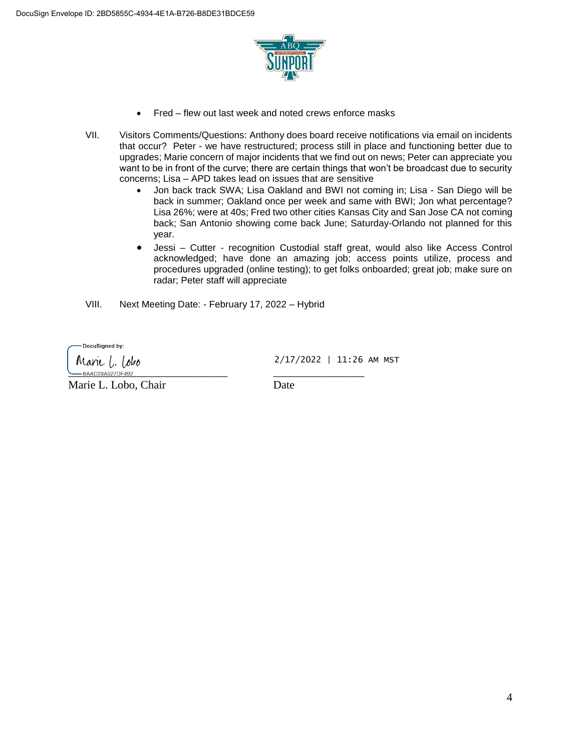

- Fred flew out last week and noted crews enforce masks
- VII. Visitors Comments/Questions: Anthony does board receive notifications via email on incidents that occur? Peter - we have restructured; process still in place and functioning better due to upgrades; Marie concern of major incidents that we find out on news; Peter can appreciate you want to be in front of the curve; there are certain things that won't be broadcast due to security concerns; Lisa – APD takes lead on issues that are sensitive
	- Jon back track SWA; Lisa Oakland and BWI not coming in; Lisa San Diego will be back in summer; Oakland once per week and same with BWI; Jon what percentage? Lisa 26%; were at 40s; Fred two other cities Kansas City and San Jose CA not coming back; San Antonio showing come back June; Saturday-Orlando not planned for this year.
	- Jessi Cutter recognition Custodial staff great, would also like Access Control acknowledged; have done an amazing job; access points utilize, process and procedures upgraded (online testing); to get folks onboarded; great job; make sure on radar; Peter staff will appreciate
- VIII. Next Meeting Date: February 17, 2022 Hybrid

DocuSigned by:

Marie I. Tobo -BAAC09A527DF492

Marie L. Lobo, Chair Date

2/17/2022 | 11:26 AM MST